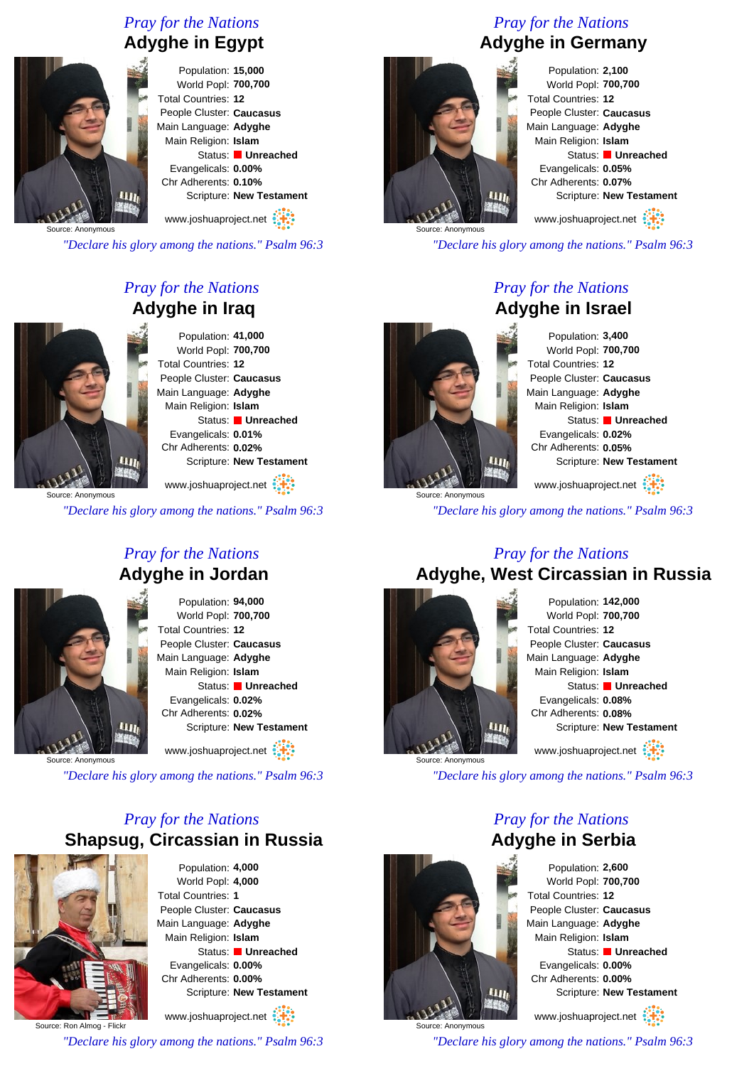#### *Pray for the Nations* **Adyghe in Egypt**



Population: **15,000** World Popl: **700,700** Total Countries: **12** People Cluster: **Caucasus** Main Language: **Adyghe** Main Religion: **Islam** Status: **Unreached** Evangelicals: **0.00%** Chr Adherents: **0.10%** Scripture: **New Testament**

www.joshuaproject.net

Source: Anonymous

*"Declare his glory among the nations." Psalm 96:3*

### *Pray for the Nations* **Adyghe in Iraq**



Population: **41,000** World Popl: **700,700** Total Countries: **12** People Cluster: **Caucasus** Main Language: **Adyghe** Main Religion: **Islam** Status: **Unreached** Evangelicals: **0.01%** Chr Adherents: **0.02%** Scripture: **New Testament**

Source: Anonymous

*"Declare his glory among the nations." Psalm 96:3*

# *Pray for the Nations* **Adyghe in Jordan**

Population: **94,000** World Popl: **700,700** Total Countries: **12** People Cluster: **Caucasus** Main Language: **Adyghe** Main Religion: **Islam** Status: **Unreached** Evangelicals: **0.02%** Chr Adherents: **0.02%** Scripture: **New Testament** www.joshuaproject.net

Source: Anonymous

 $\mathbf{u}_h$ 

*"Declare his glory among the nations." Psalm 96:3*

# *Pray for the Nations* **Shapsug, Circassian in Russia**



Population: **4,000** World Popl: **4,000** Total Countries: **1** People Cluster: **Caucasus** Main Language: **Adyghe** Main Religion: **Islam** Status: **Unreached** Evangelicals: **0.00%** Chr Adherents: **0.00%** Scripture: **New Testament** www.joshuaproject.net

Source: Ron Almog - Flickr

*"Declare his glory among the nations." Psalm 96:3*

## *Pray for the Nations* **Adyghe in Germany**



Population: **2,100** World Popl: **700,700** Total Countries: **12** People Cluster: **Caucasus** Main Language: **Adyghe** Main Religion: **Islam** Status: **Unreached** Evangelicals: **0.05%** Chr Adherents: **0.07%** Scripture: **New Testament** www.joshuaproject.net

*"Declare his glory among the nations." Psalm 96:3*

#### *Pray for the Nations* **Adyghe in Israel**

Total Countries: **12 LLIN** 

Population: **3,400** World Popl: **700,700** People Cluster: **Caucasus** Main Language: **Adyghe** Main Religion: **Islam** Status: **Unreached** Evangelicals: **0.02%** Chr Adherents: **0.05%** Scripture: **New Testament** www.joshuaproject.net

*"Declare his glory among the nations." Psalm 96:3*

#### *Pray for the Nations* **Adyghe, West Circassian in Russia**



Population: **142,000** World Popl: **700,700** Total Countries: **12** People Cluster: **Caucasus** Main Language: **Adyghe** Main Religion: **Islam** Status: **Unreached** Evangelicals: **0.08%** Chr Adherents: **0.08%** Scripture: **New Testament** www.joshuaproject.net

*"Declare his glory among the nations." Psalm 96:3*

*Pray for the Nations* **Adyghe in Serbia**



www.joshuaproject.net

*"Declare his glory among the nations." Psalm 96:3*



Source: Anonymous